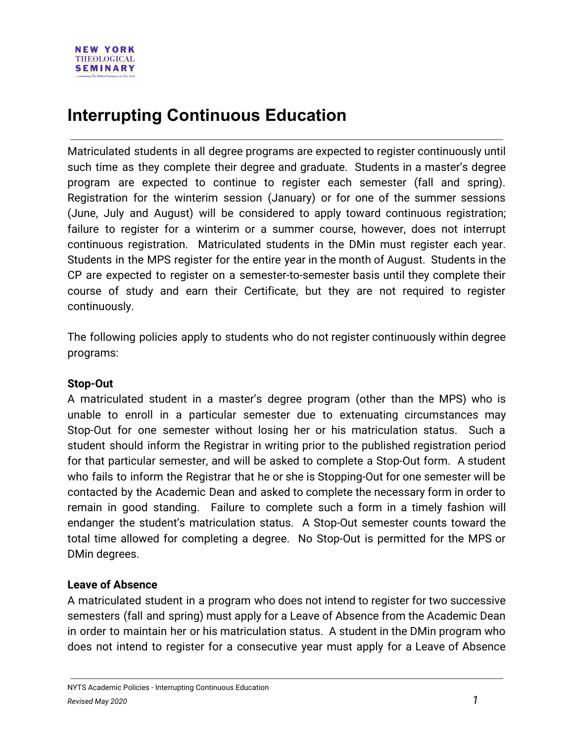## **Interrupting Continuous Education**

Matriculated students in all degree programs are expected to register continuously until such time as they complete their degree and graduate. Students in a master's degree program are expected to continue to register each semester (fall and spring). Registration for the winterim session (January) or for one of the summer sessions (June, July and August) will be considered to apply toward continuous registration; failure to register for a winterim or a summer course, however, does not interrupt continuous registration. Matriculated students in the DMin must register each year. Students in the MPS register for the entire year in the month of August. Students in the CP are expected to register on a semester-to-semester basis until they complete their course of study and earn their Certificate, but they are not required to register continuously.

The following policies apply to students who do not register continuously within degree programs:

## **Stop-Out**

A matriculated student in a master's degree program (other than the MPS) who is unable to enroll in a particular semester due to extenuating circumstances may Stop-Out for one semester without losing her or his matriculation status. Such a student should inform the Registrar in writing prior to the published registration period for that particular semester, and will be asked to complete a Stop-Out form. A student who fails to inform the Registrar that he or she is Stopping-Out for one semester will be contacted by the Academic Dean and asked to complete the necessary form in order to remain in good standing. Failure to complete such a form in a timely fashion will endanger the student's matriculation status. A Stop-Out semester counts toward the total time allowed for completing a degree. No Stop-Out is permitted for the MPS or DMin degrees.

## **Leave of Absence**

A matriculated student in a program who does not intend to register for two successive semesters (fall and spring) must apply for a Leave of Absence from the Academic Dean in order to maintain her or his matriculation status. A student in the DMin program who does not intend to register for a consecutive year must apply for a Leave of Absence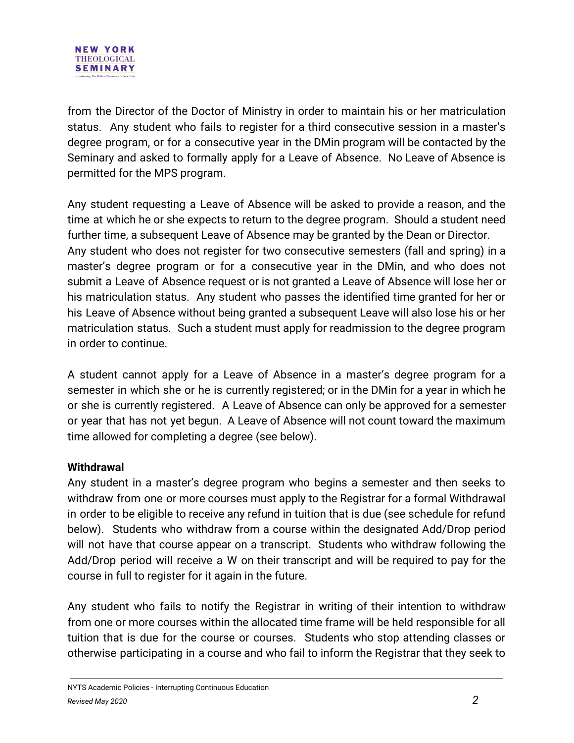from the Director of the Doctor of Ministry in order to maintain his or her matriculation status. Any student who fails to register for a third consecutive session in a master's degree program, or for a consecutive year in the DMin program will be contacted by the Seminary and asked to formally apply for a Leave of Absence. No Leave of Absence is permitted for the MPS program.

Any student requesting a Leave of Absence will be asked to provide a reason, and the time at which he or she expects to return to the degree program. Should a student need further time, a subsequent Leave of Absence may be granted by the Dean or Director. Any student who does not register for two consecutive semesters (fall and spring) in a master's degree program or for a consecutive year in the DMin, and who does not submit a Leave of Absence request or is not granted a Leave of Absence will lose her or his matriculation status. Any student who passes the identified time granted for her or his Leave of Absence without being granted a subsequent Leave will also lose his or her matriculation status. Such a student must apply for readmission to the degree program in order to continue.

A student cannot apply for a Leave of Absence in a master's degree program for a semester in which she or he is currently registered; or in the DMin for a year in which he or she is currently registered. A Leave of Absence can only be approved for a semester or year that has not yet begun. A Leave of Absence will not count toward the maximum time allowed for completing a degree (see below).

## **Withdrawal**

Any student in a master's degree program who begins a semester and then seeks to withdraw from one or more courses must apply to the Registrar for a formal Withdrawal in order to be eligible to receive any refund in tuition that is due (see schedule for refund below). Students who withdraw from a course within the designated Add/Drop period will not have that course appear on a transcript. Students who withdraw following the Add/Drop period will receive a W on their transcript and will be required to pay for the course in full to register for it again in the future.

Any student who fails to notify the Registrar in writing of their intention to withdraw from one or more courses within the allocated time frame will be held responsible for all tuition that is due for the course or courses. Students who stop attending classes or otherwise participating in a course and who fail to inform the Registrar that they seek to